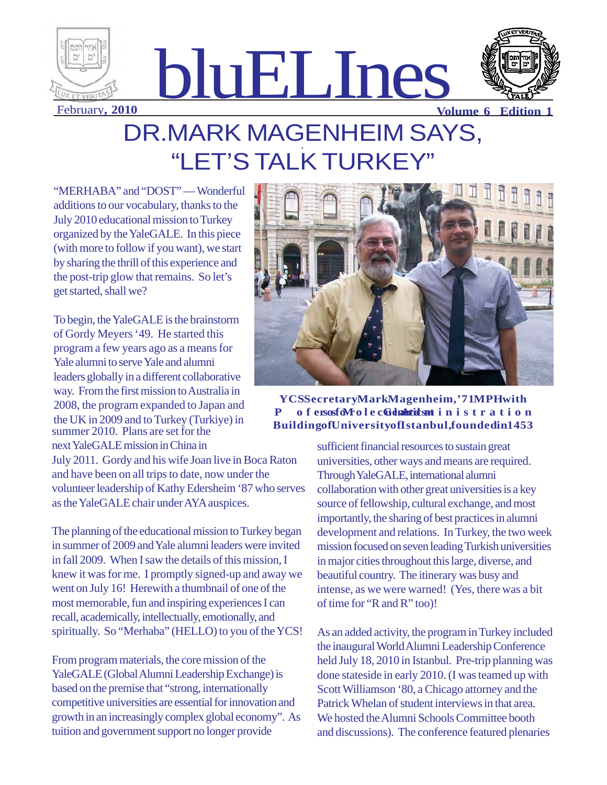

## DR.MARK MAGENHEIM SAYS, "LET'S TALK TURKEY"

"MERHABA" and "DOST" — Wonderful additions to our vocabulary, thanks to the July 2010 educational mission to Turkey organized by the YaleGALE. In this piece (with more to follow if you want), we start by sharing the thrill of this experience and the post-trip glow that remains. So let's get started, shall we?

To begin, the YaleGALE is the brainstorm of Gordy Meyers '49. He started this program a few years ago as a means for Yale alumni to serve Yale and alumni leaders globally in a different collaborative way. From the first mission to Australia in 2008, the program expanded to Japan and the UK in 2009 and to Turkey (Turkiye) in summer 2010. Plans are set for the next YaleGALE mission in China in

July 2011. Gordy and his wife Joan live in Boca Raton and have been on all trips to date, now under the volunteer leadership of Kathy Edersheim '87 who serves as the YaleGALE chair under AYA auspices.

The planning of the educational mission to Turkey began in summer of 2009 and Yale alumni leaders were invited in fall 2009. When I saw the details of this mission, I knew it was for me. I promptly signed-up and away we went on July 16! Herewith a thumbnail of one of the most memorable, fun and inspiring experiences I can recall, academically, intellectually, emotionally, and spiritually. So "Merhaba" (HELLO) to you of the YCS!

From program materials, the core mission of the YaleGALE (Global Alumni Leadership Exchange) is based on the premise that "strong, internationally competitive universities are essential for innovation and growth in an increasingly complex global economy". As tuition and government support no longer provide



### **YCS Secretary Mark Magenheim,'71 MPH with** P of ersosfo $M$ olec**Gduartics at** inistration Building of University of Istanbul, founded in 1453

sufficient financial resources to sustain great universities, other ways and means are required. Through YaleGALE, international alumni collaboration with other great universities is a key source of fellowship, cultural exchange, and most importantly, the sharing of best practices in alumni development and relations. In Turkey, the two week mission focused on seven leading Turkish universities in major cities throughout this large, diverse, and beautiful country. The itinerary was busy and intense, as we were warned! (Yes, there was a bit of time for "R and R" too)!

As an added activity, the program in Turkey included the inaugural World Alumni Leadership Conference held July 18, 2010 in Istanbul. Pre-trip planning was done stateside in early 2010. (I was teamed up with Scott Williamson '80, a Chicago attorney and the Patrick Whelan of student interviews in that area. We hosted the Alumni Schools Committee booth and discussions). The conference featured plenaries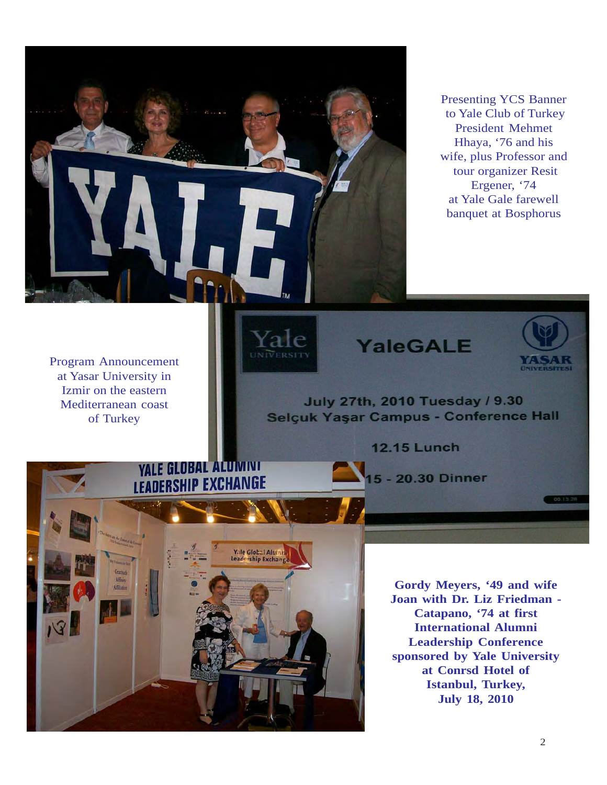

Presenting YCS Banner to Yale Club of Turkey President Mehmet Hhaya, '76 and his wife, plus Professor and tour organizer Resit Ergener, '74 at Yale Gale farewell banquet at Bosphorus

Program Announcement at Yasar University in Izmir on the eastern Mediterranean coast of Turkey







July 27th, 2010 Tuesday / 9.30 Selçuk Yaşar Campus - Conference Hall

**12.15 Lunch** 



5 - 20.30 Dinner

**Gordy Meyers, '49 and wife Joan with Dr. Liz Friedman - Catapano, '74 at first International Alumni Leadership Conference sponsored by Yale University at Conrsd Hotel of Istanbul, Turkey, July 18, 2010**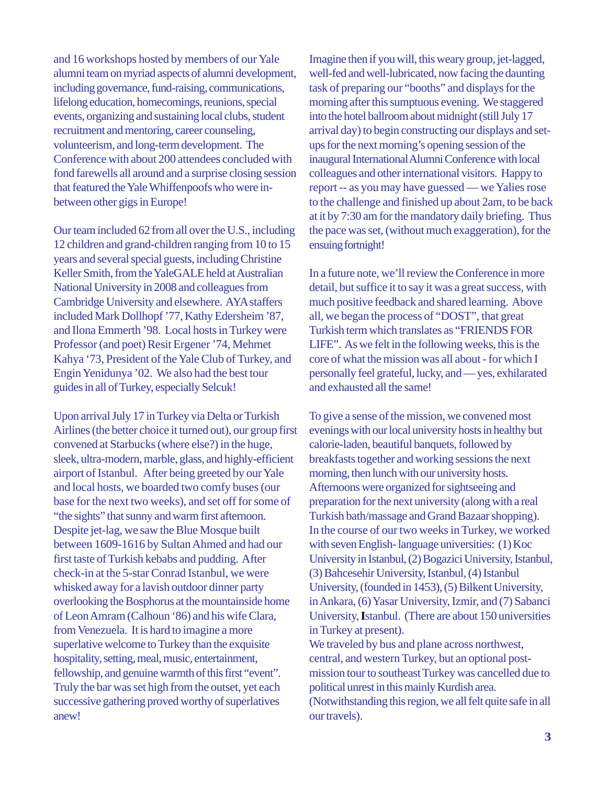and 16 workshops hosted by members of our Yale alumni team on myriad aspects of alumni development, including governance, fund-raising, communications, lifelong education, homecomings, reunions, special events, organizing and sustaining local clubs, student recruitment and mentoring, career counseling, volunteerism, and long-term development. The Conference with about 200 attendees concluded with fond farewells all around and a surprise closing session that featured the Yale Whiffenpoofs who were inbetween other gigs in Europe!

Our team included 62 from all over the U.S., including 12 children and grand-children ranging from 10 to 15 years and several special guests, including Christine Keller Smith, from the YaleGALE held at Australian National University in 2008 and colleagues from Cambridge University and elsewhere. AYA staffers included Mark Dollhopf '77, Kathy Edersheim '87, and Ilona Emmerth '98. Local hosts in Turkey were Professor (and poet) Resit Ergener '74, Mehmet Kahya '73, President of the Yale Club of Turkey, and Engin Yenidunya '02. We also had the best tour guides in all of Turkey, especially Selcuk!

Upon arrival July 17 in Turkey via Delta or Turkish Airlines (the better choice it turned out), our group first convened at Starbucks (where else?) in the huge, sleek, ultra-modern, marble, glass, and highly-efficient airport of Istanbul. After being greeted by our Yale and local hosts, we boarded two comfy buses (our base for the next two weeks), and set off for some of "the sights" that sunny and warm first afternoon. Despite jet-lag, we saw the Blue Mosque built between 1609-1616 by Sultan Ahmed and had our first taste of Turkish kebabs and pudding. After check-in at the 5-star Conrad Istanbul, we were whisked away for a lavish outdoor dinner party overlooking the Bosphorus at the mountainside home of Leon Amram (Calhoun '86) and his wife Clara, from Venezuela. It is hard to imagine a more superlative welcome to Turkey than the exquisite hospitality, setting, meal, music, entertainment, fellowship, and genuine warmth of this first "event". Truly the bar was set high from the outset, yet each successive gathering proved worthy of superlatives anew!

Imagine then if you will, this weary group, jet-lagged, well-fed and well-lubricated, now facing the daunting task of preparing our "booths" and displays for the morning after this sumptuous evening. We staggered into the hotel ballroom about midnight (still July 17 arrival day) to begin constructing our displays and setups for the next morning's opening session of the inaugural International Alumni Conference with local colleagues and other international visitors. Happy to report -- as you may have guessed — we Yalies rose to the challenge and finished up about 2am, to be back at it by 7:30 am for the mandatory daily briefing. Thus the pace was set, (without much exaggeration), for the ensuing fortnight!

In a future note, we'll review the Conference in more detail, but suffice it to say it was a great success, with much positive feedback and shared learning. Above all, we began the process of "DOST", that great Turkish term which translates as "FRIENDS FOR LIFE". As we felt in the following weeks, this is the core of what the mission was all about - for which I personally feel grateful, lucky, and — yes, exhilarated and exhausted all the same!

To give a sense of the mission, we convened most evenings with our local university hosts in healthy but calorie-laden, beautiful banquets, followed by breakfasts together and working sessions the next morning, then lunch with our university hosts. Afternoons were organized for sightseeing and preparation for the next university (along with a real Turkish bath/massage and Grand Bazaar shopping). In the course of our two weeks in Turkey, we worked with seven English- language universities: (1) Koc University in Istanbul, (2) Bogazici University, Istanbul, (3) Bahcesehir University, Istanbul, (4) Istanbul University, (founded in 1453), (5) Bilkent University, in Ankara, (6) Yasar University, Izmir, and (7) Sabanci University, **I**stanbul. (There are about 150 universities in Turkey at present).

We traveled by bus and plane across northwest, central, and western Turkey, but an optional postmission tour to southeast Turkey was cancelled due to political unrest in this mainly Kurdish area. (Notwithstanding this region, we all felt quite safe in all our travels).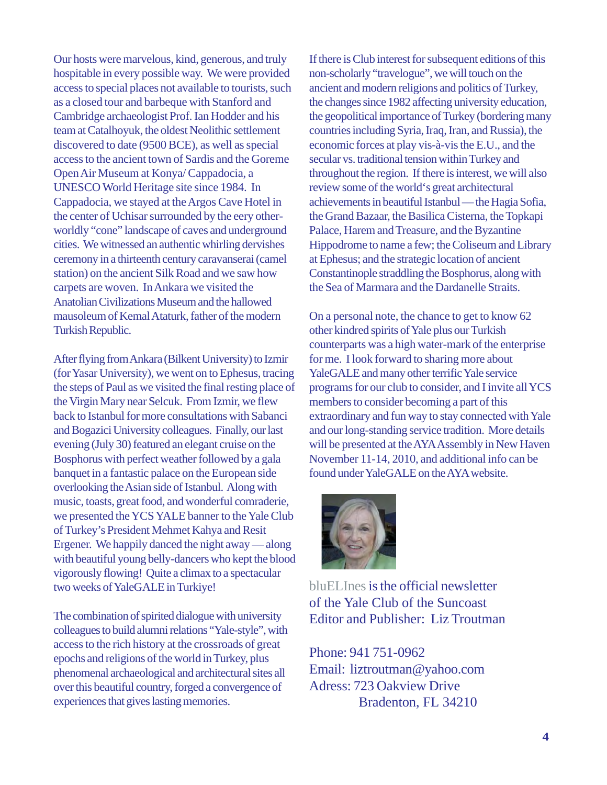Our hosts were marvelous, kind, generous, and truly hospitable in every possible way. We were provided access to special places not available to tourists, such as a closed tour and barbeque with Stanford and Cambridge archaeologist Prof. Ian Hodder and his team at Catalhoyuk, the oldest Neolithic settlement discovered to date (9500 BCE), as well as special access to the ancient town of Sardis and the Goreme Open Air Museum at Konya/ Cappadocia, a UNESCO World Heritage site since 1984. In Cappadocia, we stayed at the Argos Cave Hotel in the center of Uchisar surrounded by the eery otherworldly "cone" landscape of caves and underground cities. We witnessed an authentic whirling dervishes ceremony in a thirteenth century caravanserai (camel station) on the ancient Silk Road and we saw how carpets are woven. In Ankara we visited the Anatolian Civilizations Museum and the hallowed mausoleum of Kemal Ataturk, father of the modern Turkish Republic.

After flying from Ankara (Bilkent University) to Izmir (for Yasar University), we went on to Ephesus, tracing the steps of Paul as we visited the final resting place of the Virgin Mary near Selcuk. From Izmir, we flew back to Istanbul for more consultations with Sabanci and Bogazici University colleagues. Finally, our last evening (July 30) featured an elegant cruise on the Bosphorus with perfect weather followed by a gala banquet in a fantastic palace on the European side overlooking the Asian side of Istanbul. Along with music, toasts, great food, and wonderful comraderie, we presented the YCS YALE banner to the Yale Club of Turkey's President Mehmet Kahya and Resit Ergener. We happily danced the night away — along with beautiful young belly-dancers who kept the blood vigorously flowing! Quite a climax to a spectacular two weeks of YaleGALE in Turkiye!

The combination of spirited dialogue with university colleagues to build alumni relations "Yale-style", with access to the rich history at the crossroads of great epochs and religions of the world in Turkey, plus phenomenal archaeological and architectural sites all over this beautiful country, forged a convergence of experiences that gives lasting memories.

If there is Club interest for subsequent editions of this non-scholarly "travelogue", we will touch on the ancient and modern religions and politics of Turkey, the changes since 1982 affecting university education, the geopolitical importance of Turkey (bordering many countries including Syria, Iraq, Iran, and Russia), the economic forces at play vis-à-vis the E.U., and the secular vs. traditional tension within Turkey and throughout the region. If there is interest, we will also review some of the world's great architectural achievements in beautiful Istanbul — the Hagia Sofia, the Grand Bazaar, the Basilica Cisterna, the Topkapi Palace, Harem and Treasure, and the Byzantine Hippodrome to name a few; the Coliseum and Library at Ephesus; and the strategic location of ancient Constantinople straddling the Bosphorus, along with the Sea of Marmara and the Dardanelle Straits.

On a personal note, the chance to get to know 62 other kindred spirits of Yale plus our Turkish counterparts was a high water-mark of the enterprise for me. I look forward to sharing more about YaleGALE and many other terrific Yale service programs for our club to consider, and I invite all YCS members to consider becoming a part of this extraordinary and fun way to stay connected with Yale and our long-standing service tradition. More details will be presented at the AYA Assembly in New Haven November 11-14, 2010, and additional info can be found under YaleGALE on the AYA website.



bluEL Ines is the official newsletter of the Yale Club of the Suncoast Editor and Publisher: Liz Troutman

Phone: 941 751-0962 Email: liztroutman@yahoo.com Adress: 723 Oakview Drive Bradenton, FL 34210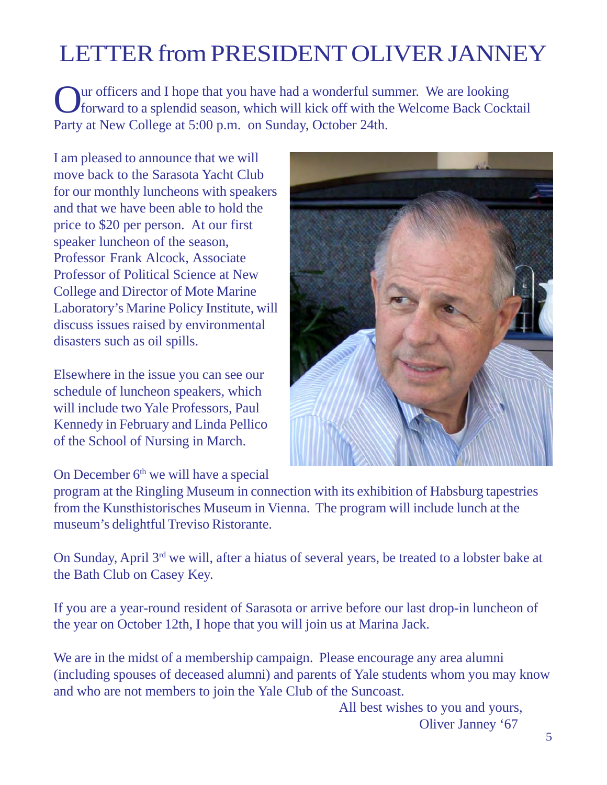## LETTER from PRESIDENT OLIVER JANNEY

Our officers and I hope that you have had a wonderful summer. We are looking forward to a splendid season, which will kick off with the Welcome Back Cocktail Party at New College at 5:00 p.m. on Sunday, October 24th.

I am pleased to announce that we will move back to the Sarasota Yacht Club for our monthly luncheons with speakers and that we have been able to hold the price to \$20 per person. At our first speaker luncheon of the season, Professor Frank Alcock, Associate Professor of Political Science at New College and Director of Mote Marine Laboratory's Marine Policy Institute, will discuss issues raised by environmental disasters such as oil spills.

Elsewhere in the issue you can see our schedule of luncheon speakers, which will include two Yale Professors, Paul Kennedy in February and Linda Pellico of the School of Nursing in March.



On December 6<sup>th</sup> we will have a special

program at the Ringling Museum in connection with its exhibition of Habsburg tapestries from the Kunsthistorisches Museum in Vienna. The program will include lunch at the museum's delightful Treviso Ristorante.

On Sunday, April 3rd we will, after a hiatus of several years, be treated to a lobster bake at the Bath Club on Casey Key.

If you are a year-round resident of Sarasota or arrive before our last drop-in luncheon of the year on October 12th, I hope that you will join us at Marina Jack.

We are in the midst of a membership campaign. Please encourage any area alumni (including spouses of deceased alumni) and parents of Yale students whom you may know and who are not members to join the Yale Club of the Suncoast.

> All best wishes to you and yours, Oliver Janney '67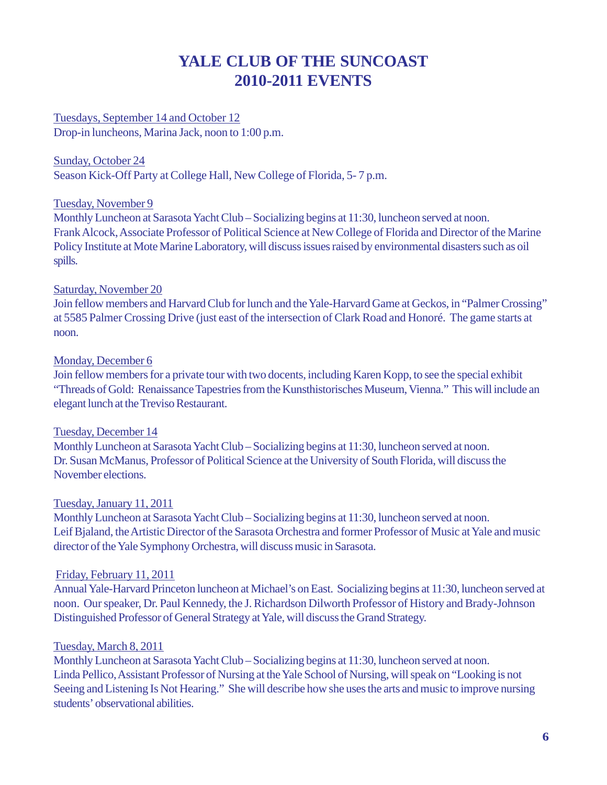### **YALE CLUB OF THE SUNCOAST 2010-2011 EVENTS**

Tuesdays, September 14 and October 12 Drop-in luncheons, Marina Jack, noon to 1:00 p.m.

Sunday, October 24 Season Kick-Off Party at College Hall, New College of Florida, 5- 7 p.m.

### Tuesday, November 9

Monthly Luncheon at Sarasota Yacht Club – Socializing begins at 11:30, luncheon served at noon. Frank Alcock, Associate Professor of Political Science at New College of Florida and Director of the Marine Policy Institute at Mote Marine Laboratory, will discuss issues raised by environmental disasters such as oil spills.

### Saturday, November 20

Join fellow members and Harvard Club for lunch and the Yale-Harvard Game at Geckos, in "Palmer Crossing" at 5585 Palmer Crossing Drive (just east of the intersection of Clark Road and Honoré. The game starts at noon.

### Monday, December 6

Join fellow members for a private tour with two docents, including Karen Kopp, to see the special exhibit "Threads of Gold: Renaissance Tapestries from the Kunsthistorisches Museum, Vienna." This will include an elegant lunch at the Treviso Restaurant.

### Tuesday, December 14

Monthly Luncheon at Sarasota Yacht Club – Socializing begins at 11:30, luncheon served at noon. Dr. Susan McManus, Professor of Political Science at the University of South Florida, will discuss the November elections.

### Tuesday, January 11, 2011

Monthly Luncheon at Sarasota Yacht Club – Socializing begins at 11:30, luncheon served at noon. Leif Bjaland, the Artistic Director of the Sarasota Orchestra and former Professor of Music at Yale and music director of the Yale Symphony Orchestra, will discuss music in Sarasota.

### Friday, February 11, 2011

Annual Yale-Harvard Princeton luncheon at Michael's on East. Socializing begins at 11:30, luncheon served at noon. Our speaker, Dr. Paul Kennedy, the J. Richardson Dilworth Professor of History and Brady-Johnson Distinguished Professor of General Strategy at Yale, will discuss the Grand Strategy.

### Tuesday, March 8, 2011

Monthly Luncheon at Sarasota Yacht Club – Socializing begins at 11:30, luncheon served at noon. Linda Pellico, Assistant Professor of Nursing at the Yale School of Nursing, will speak on "Looking is not Seeing and Listening Is Not Hearing." She will describe how she uses the arts and music to improve nursing students' observational abilities.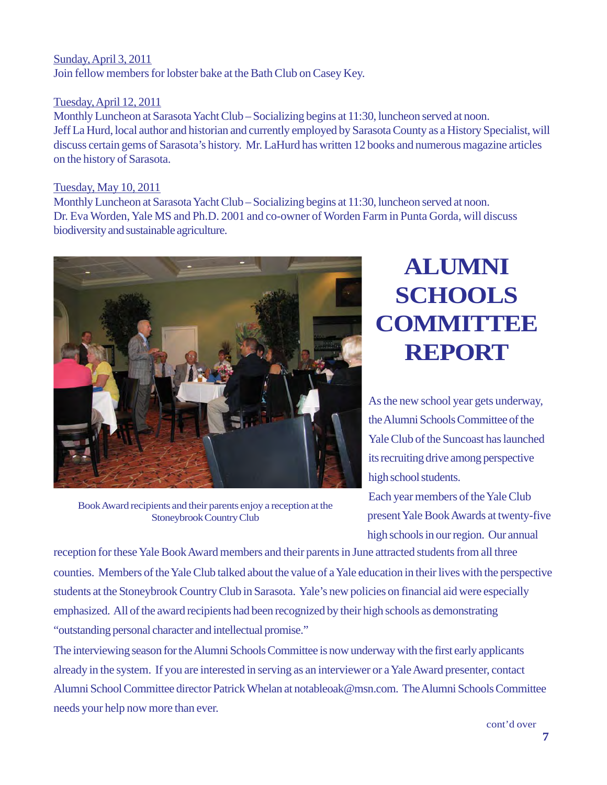### Sunday, April 3, 2011 Join fellow members for lobster bake at the Bath Club on Casey Key.

### Tuesday, April 12, 2011

Monthly Luncheon at Sarasota Yacht Club – Socializing begins at 11:30, luncheon served at noon. Jeff La Hurd, local author and historian and currently employed by Sarasota County as a History Specialist, will discuss certain gems of Sarasota's history. Mr. LaHurd has written 12 books and numerous magazine articles on the history of Sarasota.

#### Tuesday, May 10, 2011

Monthly Luncheon at Sarasota Yacht Club – Socializing begins at 11:30, luncheon served at noon. Dr. Eva Worden, Yale MS and Ph.D. 2001 and co-owner of Worden Farm in Punta Gorda, will discuss biodiversity and sustainable agriculture.



Book Award recipients and their parents enjoy a reception at the Stoneybrook Country Club

## **ALUMNI SCHOOLS COMMITTEE REPORT**

As the new school year gets underway, the Alumni Schools Committee of the Yale Club of the Suncoast has launched its recruiting drive among perspective high school students.

Each year members of the Yale Club present Yale Book Awards at twenty-five high schools in our region. Our annual

reception for these Yale Book Award members and their parents in June attracted students from all three counties. Members of the Yale Club talked about the value of a Yale education in their lives with the perspective students at the Stoneybrook Country Club in Sarasota. Yale's new policies on financial aid were especially emphasized. All of the award recipients had been recognized by their high schools as demonstrating "outstanding personal character and intellectual promise."

The interviewing season for the Alumni Schools Committee is now underway with the first early applicants already in the system. If you are interested in serving as an interviewer or a Yale Award presenter, contact Alumni School Committee director Patrick Whelan at notableoak@msn.com. The Alumni Schools Committee needs your help now more than ever.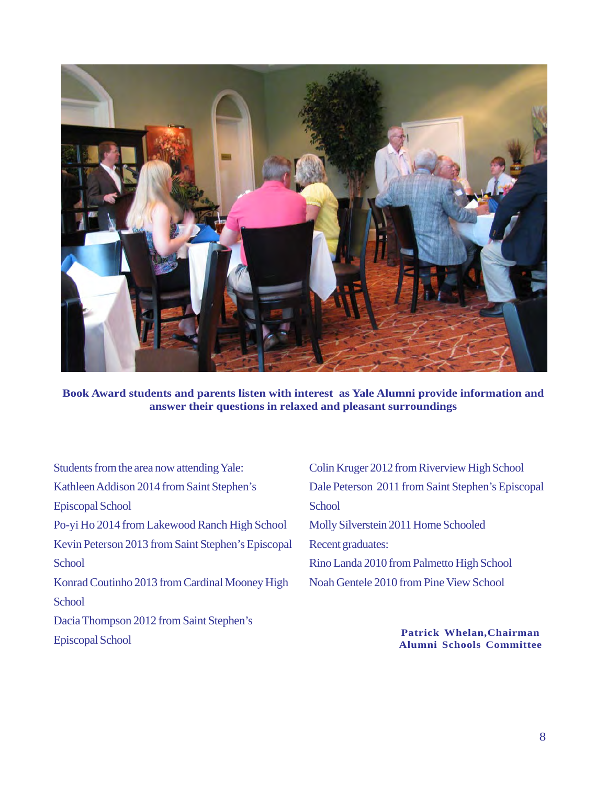

**Book Award students and parents listen with interest as Yale Alumni provide information and answer their questions in relaxed and pleasant surroundings**

Students from the area now attending Yale: Kathleen Addison 2014 from Saint Stephen's Episcopal School Po-yi Ho 2014 from Lakewood Ranch High School Kevin Peterson 2013 from Saint Stephen's Episcopal **School** Konrad Coutinho 2013 from Cardinal Mooney High **School** Dacia Thompson 2012 from Saint Stephen's Episcopal School

Colin Kruger 2012 from Riverview High School Dale Peterson 2011 from Saint Stephen's Episcopal **School** Molly Silverstein 2011 Home Schooled Recent graduates: Rino Landa 2010 from Palmetto High School Noah Gentele 2010 from Pine View School

> **Patrick Whelan,Chairman Alumni Schools Committee**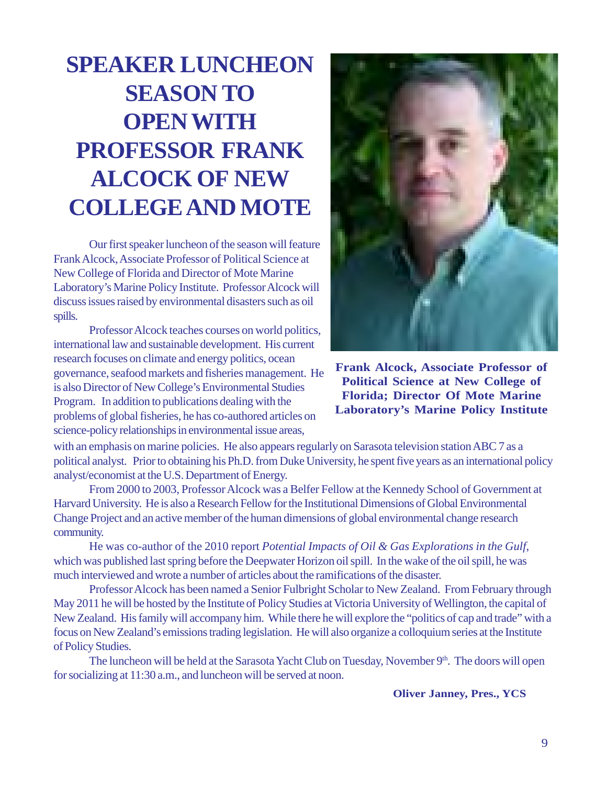## **SPEAKER LUNCHEON SEASON TO OPEN WITH PROFESSOR FRANK ALCOCK OF NEW COLLEGE AND MOTE**

Our first speaker luncheon of the season will feature Frank Alcock, Associate Professor of Political Science at New College of Florida and Director of Mote Marine Laboratory's Marine Policy Institute. Professor Alcock will discuss issues raised by environmental disasters such as oil spills.

Professor Alcock teaches courses on world politics, international law and sustainable development. His current research focuses on climate and energy politics, ocean governance, seafood markets and fisheries management. He is also Director of New College's Environmental Studies Program. In addition to publications dealing with the problems of global fisheries, he has co-authored articles on science-policy relationships in environmental issue areas,



**Frank Alcock, Associate Professor of Political Science at New College of Florida; Director Of Mote Marine Laboratory's Marine Policy Institute**

with an emphasis on marine policies. He also appears regularly on Sarasota television station ABC 7 as a political analyst. Prior to obtaining his Ph.D. from Duke University, he spent five years as an international policy analyst/economist at the U.S. Department of Energy.

From 2000 to 2003, Professor Alcock was a Belfer Fellow at the Kennedy School of Government at Harvard University. He is also a Research Fellow for the Institutional Dimensions of Global Environmental Change Project and an active member of the human dimensions of global environmental change research community.

He was co-author of the 2010 report *Potential Impacts of Oil & Gas Explorations in the Gulf*, which was published last spring before the Deepwater Horizon oil spill. In the wake of the oil spill, he was much interviewed and wrote a number of articles about the ramifications of the disaster.

Professor Alcock has been named a Senior Fulbright Scholar to New Zealand. From February through May 2011 he will be hosted by the Institute of Policy Studies at Victoria University of Wellington, the capital of New Zealand. His family will accompany him. While there he will explore the "politics of cap and trade" with a focus on New Zealand's emissions trading legislation. He will also organize a colloquium series at the Institute of Policy Studies.

The luncheon will be held at the Sarasota Yacht Club on Tuesday, November 9<sup>th</sup>. The doors will open for socializing at 11:30 a.m., and luncheon will be served at noon.

#### **Oliver Janney, Pres., YCS**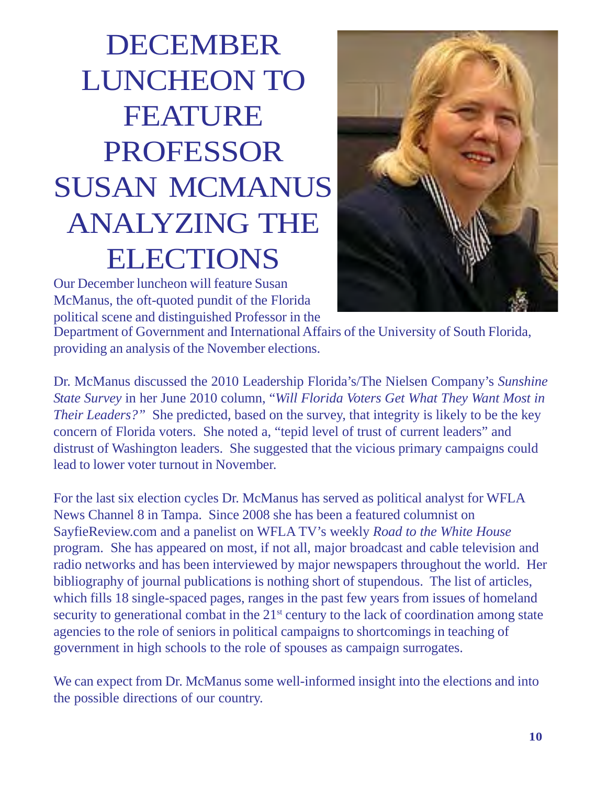# DECEMBER LUNCHEON TO FEATURE PROFESSOR SUSAN MCMANUS ANALYZING THE ELECTIONS



Our December luncheon will feature Susan McManus, the oft-quoted pundit of the Florida political scene and distinguished Professor in the

Department of Government and International Affairs of the University of South Florida, providing an analysis of the November elections.

Dr. McManus discussed the 2010 Leadership Florida's/The Nielsen Company's *Sunshine State Survey* in her June 2010 column, "*Will Florida Voters Get What They Want Most in Their Leaders?"* She predicted, based on the survey, that integrity is likely to be the key concern of Florida voters. She noted a, "tepid level of trust of current leaders" and distrust of Washington leaders. She suggested that the vicious primary campaigns could lead to lower voter turnout in November.

For the last six election cycles Dr. McManus has served as political analyst for WFLA News Channel 8 in Tampa. Since 2008 she has been a featured columnist on SayfieReview.com and a panelist on WFLA TV's weekly *Road to the White House* program. She has appeared on most, if not all, major broadcast and cable television and radio networks and has been interviewed by major newspapers throughout the world. Her bibliography of journal publications is nothing short of stupendous. The list of articles, which fills 18 single-spaced pages, ranges in the past few years from issues of homeland security to generational combat in the  $21<sup>st</sup>$  century to the lack of coordination among state agencies to the role of seniors in political campaigns to shortcomings in teaching of government in high schools to the role of spouses as campaign surrogates.

We can expect from Dr. McManus some well-informed insight into the elections and into the possible directions of our country.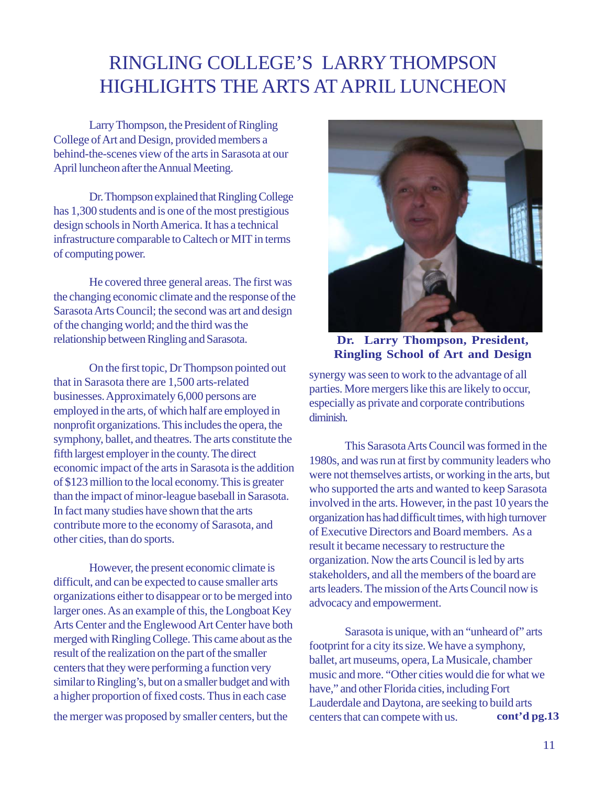### RINGLING COLLEGE'S LARRY THOMPSON HIGHLIGHTS THE ARTS AT APRIL LUNCHEON

Larry Thompson, the President of Ringling College of Art and Design, provided members a behind-the-scenes view of the arts in Sarasota at our April luncheon after the Annual Meeting.

Dr. Thompson explained that Ringling College has 1,300 students and is one of the most prestigious design schools in North America. It has a technical infrastructure comparable to Caltech or MIT in terms of computing power.

He covered three general areas. The first was the changing economic climate and the response of the Sarasota Arts Council; the second was art and design of the changing world; and the third was the relationship between Ringling and Sarasota.

On the first topic, Dr Thompson pointed out that in Sarasota there are 1,500 arts-related businesses. Approximately 6,000 persons are employed in the arts, of which half are employed in nonprofit organizations. This includes the opera, the symphony, ballet, and theatres. The arts constitute the fifth largest employer in the county. The direct economic impact of the arts in Sarasota is the addition of \$123 million to the local economy. This is greater than the impact of minor-league baseball in Sarasota. In fact many studies have shown that the arts contribute more to the economy of Sarasota, and other cities, than do sports.

However, the present economic climate is difficult, and can be expected to cause smaller arts organizations either to disappear or to be merged into larger ones. As an example of this, the Longboat Key Arts Center and the Englewood Art Center have both merged with Ringling College. This came about as the result of the realization on the part of the smaller centers that they were performing a function very similar to Ringling's, but on a smaller budget and with a higher proportion of fixed costs. Thus in each case

the merger was proposed by smaller centers, but the



**Dr. Larry Thompson, President, Ringling School of Art and Design**

synergy was seen to work to the advantage of all parties. More mergers like this are likely to occur, especially as private and corporate contributions diminish.

This Sarasota Arts Council was formed in the 1980s, and was run at first by community leaders who were not themselves artists, or working in the arts, but who supported the arts and wanted to keep Sarasota involved in the arts. However, in the past 10 years the organization has had difficult times, with high turnover of Executive Directors and Board members. As a result it became necessary to restructure the organization. Now the arts Council is led by arts stakeholders, and all the members of the board are arts leaders. The mission of the Arts Council now is advocacy and empowerment.

Sarasota is unique, with an "unheard of" arts footprint for a city its size. We have a symphony, ballet, art museums, opera, La Musicale, chamber music and more. "Other cities would die for what we have," and other Florida cities, including Fort Lauderdale and Daytona, are seeking to build arts centers that can compete with us. **cont'd pg.13**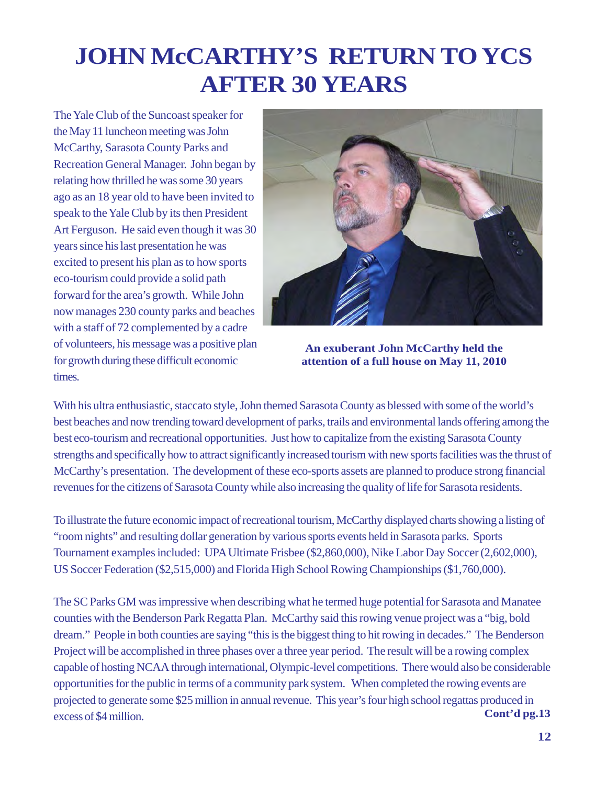## **JOHN McCARTHY'S RETURN TO YCS AFTER 30 YEARS**

The Yale Club of the Suncoast speaker for the May 11 luncheon meeting was John McCarthy, Sarasota County Parks and Recreation General Manager. John began by relating how thrilled he was some 30 years ago as an 18 year old to have been invited to speak to the Yale Club by its then President Art Ferguson. He said even though it was 30 years since his last presentation he was excited to present his plan as to how sports eco-tourism could provide a solid path forward for the area's growth. While John now manages 230 county parks and beaches with a staff of 72 complemented by a cadre of volunteers, his message was a positive plan for growth during these difficult economic times.



**An exuberant John McCarthy held the attention of a full house on May 11, 2010**

With his ultra enthusiastic, staccato style, John themed Sarasota County as blessed with some of the world's best beaches and now trending toward development of parks, trails and environmental lands offering among the best eco-tourism and recreational opportunities. Just how to capitalize from the existing Sarasota County strengths and specifically how to attract significantly increased tourism with new sports facilities was the thrust of McCarthy's presentation. The development of these eco-sports assets are planned to produce strong financial revenues for the citizens of Sarasota County while also increasing the quality of life for Sarasota residents.

To illustrate the future economic impact of recreational tourism, McCarthy displayed charts showing a listing of "room nights" and resulting dollar generation by various sports events held in Sarasota parks. Sports Tournament examples included: UPA Ultimate Frisbee (\$2,860,000), Nike Labor Day Soccer (2,602,000), US Soccer Federation (\$2,515,000) and Florida High School Rowing Championships (\$1,760,000).

The SC Parks GM was impressive when describing what he termed huge potential for Sarasota and Manatee counties with the Benderson Park Regatta Plan. McCarthy said this rowing venue project was a "big, bold dream." People in both counties are saying "this is the biggest thing to hit rowing in decades." The Benderson Project will be accomplished in three phases over a three year period. The result will be a rowing complex capable of hosting NCAA through international, Olympic-level competitions. There would also be considerable opportunities for the public in terms of a community park system. When completed the rowing events are projected to generate some \$25 million in annual revenue. This year's four high school regattas produced in excess of \$4 million. **Cont'd pg.13**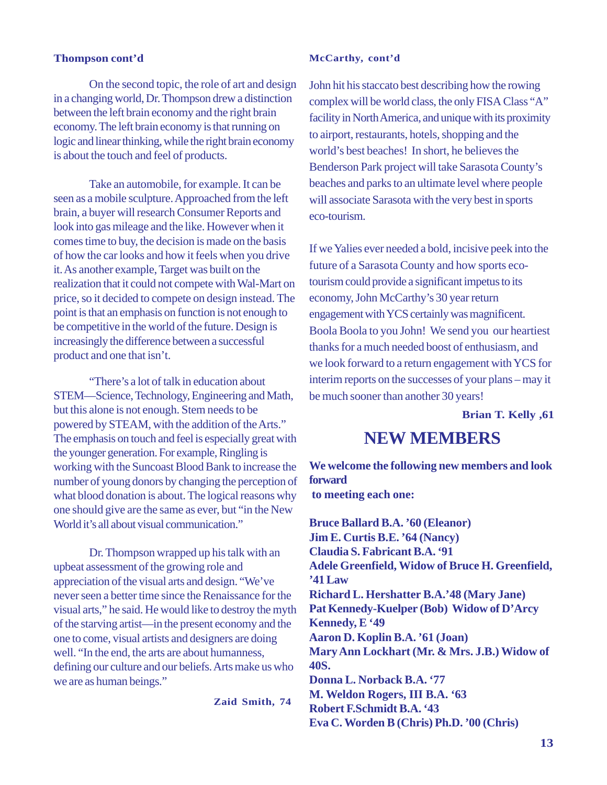#### **Thompson cont'd**

#### **McCarthy, cont'd**

On the second topic, the role of art and design in a changing world, Dr. Thompson drew a distinction between the left brain economy and the right brain economy. The left brain economy is that running on logic and linear thinking, while the right brain economy is about the touch and feel of products.

Take an automobile, for example. It can be seen as a mobile sculpture. Approached from the left brain, a buyer will research Consumer Reports and look into gas mileage and the like. However when it comes time to buy, the decision is made on the basis of how the car looks and how it feels when you drive it. As another example, Target was built on the realization that it could not compete with Wal-Mart on price, so it decided to compete on design instead. The point is that an emphasis on function is not enough to be competitive in the world of the future. Design is increasingly the difference between a successful product and one that isn't.

"There's a lot of talk in education about STEM—Science, Technology, Engineering and Math, but this alone is not enough. Stem needs to be powered by STEAM, with the addition of the Arts." The emphasis on touch and feel is especially great with the younger generation. For example, Ringling is working with the Suncoast Blood Bank to increase the number of young donors by changing the perception of what blood donation is about. The logical reasons why one should give are the same as ever, but "in the New World it's all about visual communication."

Dr. Thompson wrapped up his talk with an upbeat assessment of the growing role and appreciation of the visual arts and design. "We've never seen a better time since the Renaissance for the visual arts," he said. He would like to destroy the myth of the starving artist—in the present economy and the one to come, visual artists and designers are doing well. "In the end, the arts are about humanness, defining our culture and our beliefs. Arts make us who we are as human beings."

**Zaid Smith, 74**

John hit his staccato best describing how the rowing complex will be world class, the only FISA Class "A" facility in North America, and unique with its proximity to airport, restaurants, hotels, shopping and the world's best beaches! In short, he believes the Benderson Park project will take Sarasota County's beaches and parks to an ultimate level where people will associate Sarasota with the very best in sports eco-tourism.

If we Yalies ever needed a bold, incisive peek into the future of a Sarasota County and how sports ecotourism could provide a significant impetus to its economy, John McCarthy's 30 year return engagement with YCS certainly was magnificent. Boola Boola to you John! We send you our heartiest thanks for a much needed boost of enthusiasm, and we look forward to a return engagement with YCS for interim reports on the successes of your plans – may it be much sooner than another 30 years!

**Brian T. Kelly ,61**

### **NEW MEMBERS**

**We welcome the following new members and look forward to meeting each one:**

**Bruce Ballard B.A. '60 (Eleanor) Jim E. Curtis B.E. '64 (Nancy) Claudia S. Fabricant B.A. '91 Adele Greenfield, Widow of Bruce H. Greenfield, '41 Law Richard L. Hershatter B.A.'48 (Mary Jane) Pat Kennedy-Kuelper (Bob) Widow of D'Arcy Kennedy, E '49 Aaron D. Koplin B.A. '61 (Joan) Mary Ann Lockhart (Mr. & Mrs. J.B.) Widow of 40S. Donna L. Norback B.A. '77 M. Weldon Rogers, III B.A. '63 Robert F.Schmidt B.A. '43 Eva C. Worden B (Chris) Ph.D. '00 (Chris)**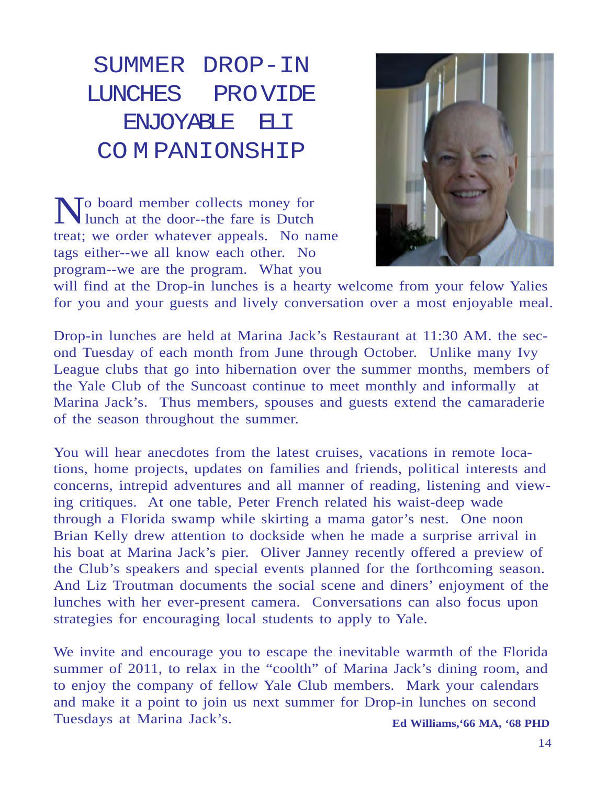SUMMER DROP-IN LUNCHES PROVIDE ENJOYABLE ELI CO M PANIONSHIP

No board member collects money for lunch at the door--the fare is Dutch treat; we order whatever appeals. No name tags either--we all know each other. No program--we are the program. What you



will find at the Drop-in lunches is a hearty welcome from your felow Yalies for you and your guests and lively conversation over a most enjoyable meal.

Drop-in lunches are held at Marina Jack's Restaurant at 11:30 AM. the second Tuesday of each month from June through October. Unlike many Ivy League clubs that go into hibernation over the summer months, members of the Yale Club of the Suncoast continue to meet monthly and informally at Marina Jack's. Thus members, spouses and guests extend the camaraderie of the season throughout the summer.

You will hear anecdotes from the latest cruises, vacations in remote locations, home projects, updates on families and friends, political interests and concerns, intrepid adventures and all manner of reading, listening and viewing critiques. At one table, Peter French related his waist-deep wade through a Florida swamp while skirting a mama gator's nest. One noon Brian Kelly drew attention to dockside when he made a surprise arrival in his boat at Marina Jack's pier. Oliver Janney recently offered a preview of the Club's speakers and special events planned for the forthcoming season. And Liz Troutman documents the social scene and diners' enjoyment of the lunches with her ever-present camera. Conversations can also focus upon strategies for encouraging local students to apply to Yale.

We invite and encourage you to escape the inevitable warmth of the Florida summer of 2011, to relax in the "coolth" of Marina Jack's dining room, and to enjoy the company of fellow Yale Club members. Mark your calendars and make it a point to join us next summer for Drop-in lunches on second Tuesdays at Marina Jack's. **Ed Williams,'66 MA, '68 PHD**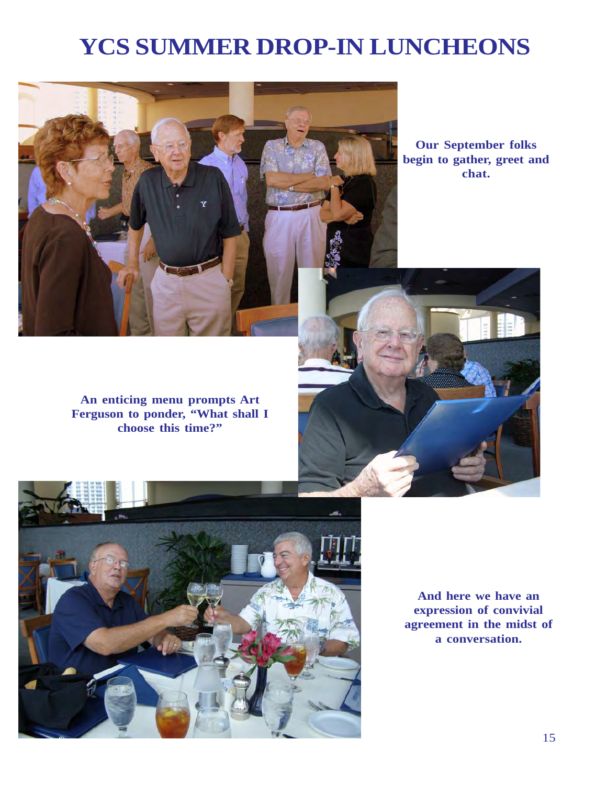### **YCS SUMMER DROP-IN LUNCHEONS**



**Our September folks begin to gather, greet and chat.**

**An enticing menu prompts Art Ferguson to ponder, "What shall I choose this time?"**



**And here we have an expression of convivial agreement in the midst of a conversation.**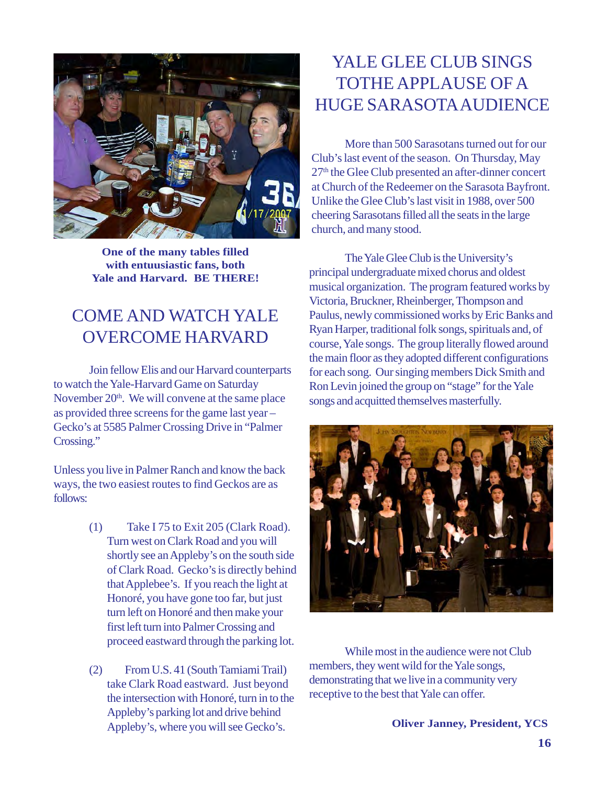

**One of the many tables filled with entuusiastic fans, both Yale and Harvard. BE THERE!**

### COME AND WATCH YALE OVERCOME HARVARD

Join fellow Elis and our Harvard counterparts to watch the Yale-Harvard Game on Saturday November  $20<sup>th</sup>$ . We will convene at the same place as provided three screens for the game last year – Gecko's at 5585 Palmer Crossing Drive in "Palmer Crossing."

Unless you live in Palmer Ranch and know the back ways, the two easiest routes to find Geckos are as follows:

- (1) Take I 75 to Exit 205 (Clark Road). Turn west on Clark Road and you will shortly see an Appleby's on the south side of Clark Road. Gecko's is directly behind that Applebee's. If you reach the light at Honoré, you have gone too far, but just turn left on Honoré and then make your first left turn into Palmer Crossing and proceed eastward through the parking lot.
- (2) From U.S. 41 (South Tamiami Trail) take Clark Road eastward. Just beyond the intersection with Honoré, turn in to the Appleby's parking lot and drive behind Appleby's, where you will see Gecko's.

### YALE GLEE CLUB SINGS TOTHE APPLAUSE OF A HUGE SARASOTA AUDIENCE

More than 500 Sarasotans turned out for our Club's last event of the season. On Thursday, May 27<sup>th</sup> the Glee Club presented an after-dinner concert at Church of the Redeemer on the Sarasota Bayfront. Unlike the Glee Club's last visit in 1988, over 500 cheering Sarasotans filled all the seats in the large church, and many stood.

The Yale Glee Club is the University's principal undergraduate mixed chorus and oldest musical organization. The program featured works by Victoria, Bruckner, Rheinberger, Thompson and Paulus, newly commissioned works by Eric Banks and Ryan Harper, traditional folk songs, spirituals and, of course, Yale songs. The group literally flowed around the main floor as they adopted different configurations for each song. Our singing members Dick Smith and Ron Levin joined the group on "stage" for the Yale songs and acquitted themselves masterfully.



While most in the audience were not Club members, they went wild for the Yale songs, demonstrating that we live in a community very receptive to the best that Yale can offer.

**Oliver Janney, President, YCS**